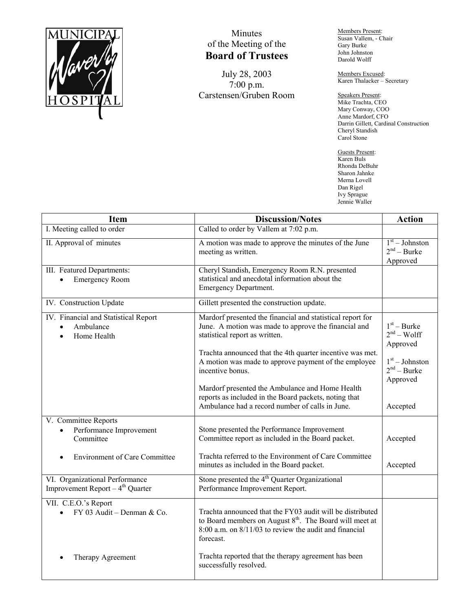

## Minutes of the Meeting of the **Board of Trustees**

July 28, 2003 7:00 p.m. Carstensen/Gruben Room Members Present: Susan Vallem, - Chair Gary Burke John Johnston Darold Wolff

Members Excused: Karen Thalacker – Secretary

Speakers Present: Mike Trachta, CEO Mary Conway, COO Anne Mardorf, CFO Darrin Gillett, Cardinal Construction Cheryl Standish Carol Stone

Guests Present: Karen Buls Rhonda DeBuhr Sharon Jahnke Merna Lovell Dan Rigel Ivy Sprague Jennie Waller

| Item                                                                           | <b>Discussion/Notes</b>                                                                                                                                                                                     | <b>Action</b>                                 |
|--------------------------------------------------------------------------------|-------------------------------------------------------------------------------------------------------------------------------------------------------------------------------------------------------------|-----------------------------------------------|
| I. Meeting called to order                                                     | Called to order by Vallem at 7:02 p.m.                                                                                                                                                                      |                                               |
| II. Approval of minutes                                                        | A motion was made to approve the minutes of the June<br>meeting as written.                                                                                                                                 | $1st - Johnson$<br>$2nd - Burke$<br>Approved  |
| III. Featured Departments:<br><b>Emergency Room</b>                            | Cheryl Standish, Emergency Room R.N. presented<br>statistical and anecdotal information about the<br>Emergency Department.                                                                                  |                                               |
| IV. Construction Update                                                        | Gillett presented the construction update.                                                                                                                                                                  |                                               |
| IV. Financial and Statistical Report<br>Ambulance<br>Home Health               | Mardorf presented the financial and statistical report for<br>June. A motion was made to approve the financial and<br>statistical report as written.                                                        | $1st - Burke$<br>$2nd - Wolf$<br>Approved     |
|                                                                                | Trachta announced that the 4th quarter incentive was met.<br>A motion was made to approve payment of the employee<br>incentive bonus.                                                                       | $1st - Johnston$<br>$2nd - Burke$<br>Approved |
|                                                                                | Mardorf presented the Ambulance and Home Health<br>reports as included in the Board packets, noting that<br>Ambulance had a record number of calls in June.                                                 | Accepted                                      |
| V. Committee Reports<br>Performance Improvement<br>Committee                   | Stone presented the Performance Improvement<br>Committee report as included in the Board packet.                                                                                                            | Accepted                                      |
| <b>Environment of Care Committee</b>                                           | Trachta referred to the Environment of Care Committee<br>minutes as included in the Board packet.                                                                                                           | Accepted                                      |
| VI. Organizational Performance<br>Improvement Report - 4 <sup>th</sup> Quarter | Stone presented the $4th$ Quarter Organizational<br>Performance Improvement Report.                                                                                                                         |                                               |
| VII. C.E.O.'s Report<br>FY 03 Audit - Denman & Co.                             | Trachta announced that the FY03 audit will be distributed<br>to Board members on August 8 <sup>th</sup> . The Board will meet at<br>$8:00$ a.m. on $8/11/03$ to review the audit and financial<br>forecast. |                                               |
| Therapy Agreement                                                              | Trachta reported that the therapy agreement has been<br>successfully resolved.                                                                                                                              |                                               |